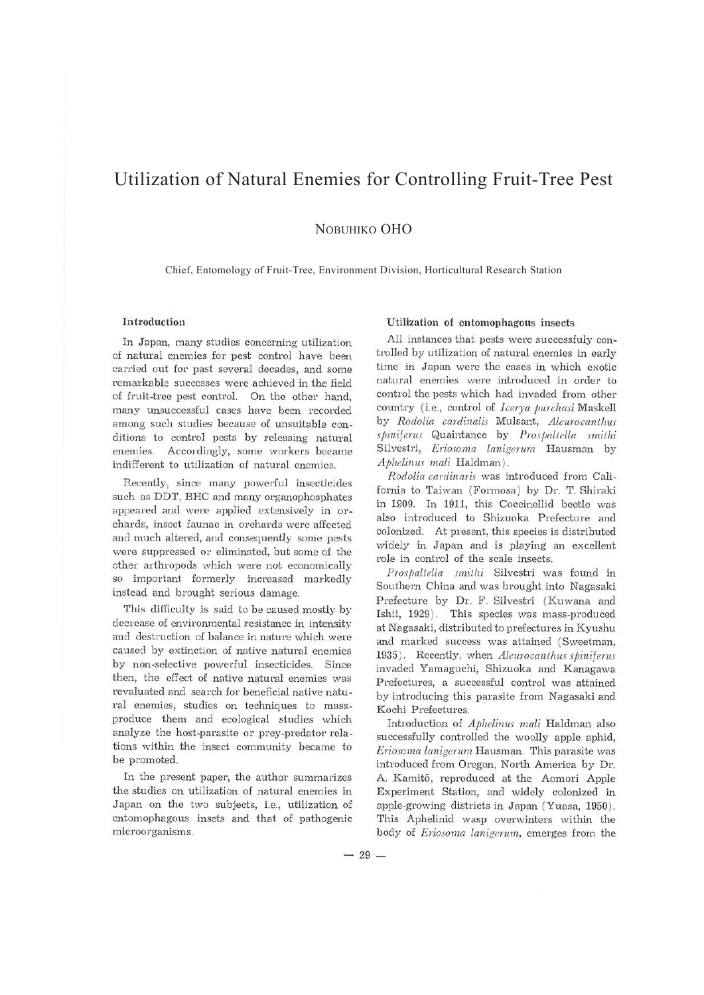# Utilization of Natural Enemies for Controlling Fruit-Tree Pest

NOBUHIKO OHO

Chief, Entomology of Fruit-Tree, Environment Division, Horticultural Research Station

## Introduction

In Japan, many studies concerning utilization of natural enemies for pest control have been carried out for past several decades, and some remarkable successes were achieved in the field of fruit-tree pest control. On the other hand, many unsuccessful cases have been recorded among such studies because of unsuitable conditions to control pests by releasing natural enemies. Accordingly, some workers became indifferent to utilization of natural enemies.

Recently, since many powerful insecticides such as DDT, BHC and many organophosphates appeared and were applied extensively in orchards, insect faunae in orchards were affected and much altered, and consequently some pests were suppressed or eliminated, but some of the other arthropods which were not economically so important formerly increased markedly instead and brought serious damage.

This difficulty is said to be caused mostly by decrease of environmental resistance in intensity and destruction of balance in nature which were caused by extinction of native natural enemies by non-selective powerful insecticides. Since then, the effect of native natural enemies was revaluated and search for beneficial native natural enemies, studies on techniques to massproduce them and ecological studies which analyze the host-parasite or prey-predator relations within the insect community became to be promoted.

In the present paper, the author summarizes the studies on utilization of natural enemies in Japan on the two subjects, i.e., utilization of entomophagous insets and that of pathogenic microorganisms.

### **Utilization of entomophagous insects**

All instances that pests were successfuly controlled by utilization of natural enemies in early time in Japan were the cases in which exotic natural enemies were introduced in order to control the pests which had invaded from other country (i.e., control of *Icerya purchasi* Maskell by *Rodolia cardinalis* Mulsant, *Aleurocant/ms*   $s$ *piniferus* Quaintance by *Prospaltella smithi* Silvestri, *Eriosoma lanigernm* Hausman by *Aj1helinus mali* Haldman ).

*Rodolia cardinaris* was introduced from California to Taiwan (Formosa ) by Dr. T. Shiraki in 1909. In 1911, this Coccinellid beetle was also introduced to Shizuoka Prefecture and colonized. At present, this species is distributed widely in Japan and is playing an excellent role in control of the scale insects.

*Pros paltella smithi* Silvestri was found in Southern China and was brought into Nagasaki Prefecture by Dr. F. Silvestri (Kuwana and Ishii, 1929). This species was mass-produced at Nagasaki, distributed to prefectures in Kyushu and marked success was attained (Sweetman, 1935). Recently, when *Aleurocanthus spiniferus* invaded Yamaguchi, Shizuoka and Kanagawa Prefectures, a successful control was attained by introducing this parasite from Nagasaki and Kochi Prefectures.

Introduction of *Aj1helinus mali* Haldman also successfully controlled the woolly apple aphid, *Eriosoma lanigerwn* Hausman. This parasite was introduced from Oregon, North America by Dr. A. Kamitô, reproduced at the Aomori Apple Experiment Station, and widely colonized in apple-growing districts in Japan ( Yuasa, 1950). This Aphelinid wasp overwinters within the body of *Eriosoma lanigerum,* emerges from the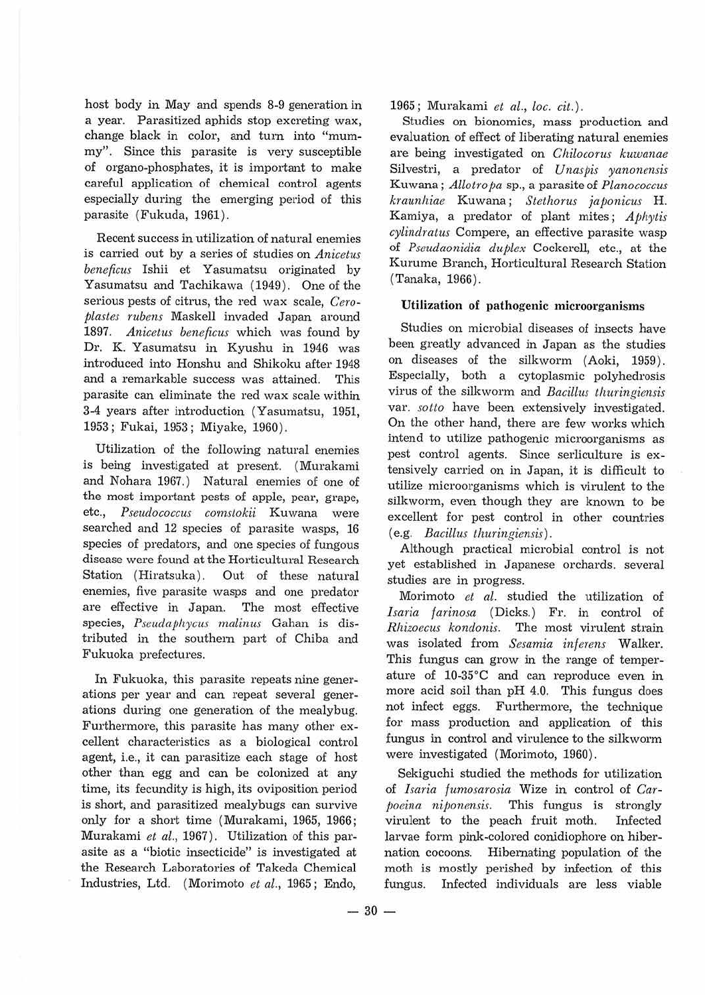host body in May and spends 8-9 generation in a year. Parasitized aphids stop excreting wax, change black *in* color, and tum into "mummy". Since this parasite is very susceptible of organo-phosphates, it is important to make careful application of chemical control agents especially during the emerging period of this parasite {Fukuda, 1961).

Recent success in utilization of natural enemies is carried out by a series of studies on *Anicetus beneficus* Ishii et Yasumatsu originated by Yasumatsu and Tachikawa {1949). One of the serious pests of citrus, the red wax scale, *Ceroplastes rubens* Maskell invaded Japan around 1897. Anicetus beneficus which was found by Dr. K. Yasumatsu in Kyushu in 1946 was introduced into Honshu and Shikoku after 1948 and a remarkable success was attained. This parasite can eliminate the red wax scale within 3-4 years after introduction (Yasumatsu, 1951, 1953 ; Fukai, 1953; Miyake, 1960).

Utilization of the following natural enemies is being investigated at present. (Murakami and Nohara 1967.) Natural enemies of one of the most important pests of apple, pear, grape, etc., *Pseudococcus comstokii* Kuwana were searched and 12 species of parasite wasps, 16 species of predators, and one species of fungous disease were found at the Horticultural Research Station (Hiratsuka). Out of these natural enemies, five parasite wasps and one predator are effective in Japan. The most effective species, *Pseudaj)hycus malinus* Gahan is distributed *in* the southem part of Chiba and Fukuoka prefectures.

In Fukuoka, this parasite repeats nine generations per year and can repeat several generations during one generation of the mealybug. Furthermore, this parasite has many other excellent characteristics as a biological control agent, i.e., it can parasitize each stage of host other than. egg and can be colonized at any time, its fecundity is high, its oviposition period is short, and parasitized mealybugs can survive only for a short time ( Murakami, 1965, 1966; Murakami *et al.,* 1967). Utilization of this parasite as a "biotic insecticide" is investigated at the Research Laboratories of Takeda Chemical Industries, Ltd. (Morimoto *et al.,* 1965; Endo,

1965; Murakami *et al., Loe. cit.).* 

Studies on bionomics, mass production and evaluation of effect of liberating natural enemies are being investigated on *Chilocorus kuwanae*  Silvestri, a predator of *Unaspis yanonensis*  Kuwana; *Allotro pa* sp., a parasite of *Planococcus kraunhiae* Kuwana ; *Stethorus japonicus* H. Kamiya, a predator of plant mites; Aphytis *cylindratus* Compere, an effective parasite wasp of *Pseudaonidia duf1lex* Cockerell, etc., at the Kurume Branch, Horticultural Research Station (Tanaka, 1966).

## **Utilization of pathogenic microorganisms**

Studies on microbial diseases of insects have been greatly advanced in Japan as the studies on diseases of the silkworm ( Aoki, 1959). Especially, both a cytoplasmic polyhedrosis virus of the silkworm and *Bacillus thuringiensis*  var. *sotto* have been extensively investigated. On the other hand, there are few works which intend to utilize pathogenic microorganisms as pest control agents. Since serliculture is extensively carried on. in Japan, it is difficult to utilize microorganisms which is virulent to the silkworm, even though they are known to be excellent for pest control in other countries ( e.g. *Bacillus thuringiensis).* 

Although practical microbial control is not yet established in Japanese orchards. several studies are in progress.

Morimoto *et al.* studied the utilization of *l saria farinosa* (Dicks.) Fr. in control of *Rhizoecus kondonis.* The most virulent strain was isolated from *Sesamia inferens* Walker. This fungus can grow in the range of temperature of 10-35°C and can reproduce even in more acid soil than pH 4.0. This fungus does not infect eggs. Furthermore, the technique for mass production and application of this fungus *in* control and virulence to the silkworm were investigated (Morimoto, 1960).

Sekiguchi studied the methods for utilization of *lsaria fumosarosia* Wize in control of *Carfoeina niponensis*. This fungus is strongly virulent to the peach fruit moth. Infected larvae form pink-colored conidiophore on hibernation cocoons. Hibernating population of the moth is mostly perished by infection of this fungus. Infected individuals are less viable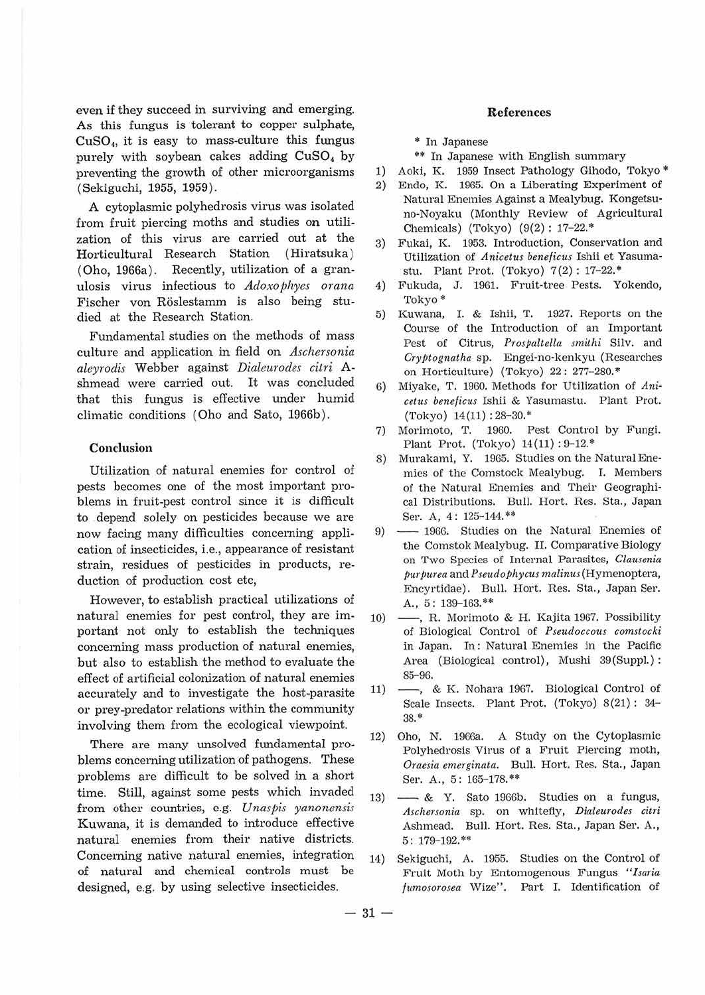even if they succeed in surviving and emerging. As this fungus is tolerant to copper sulphate,  $CuSO<sub>4</sub>$ , it is easy to mass-culture this fungus purely with soybean cakes adding CuSO<sub>4</sub> by preventing the growth of other microorganisms ( Sekiguchi, 1955, 1959}.

A cytoplasmic polyhedrosis virus was isolated from fruit piercing moths and studies on utilization of this virus are carried out at the Horticultural Research Station ( Hiratsuka} (Oho, 1966a}. Recently, utilization of a granulosis virus infectious to *Adoxo phyes orana* Fischer von Röslestamm is also being studied at the Research Station.

Fundamental studies on the methods of mass culture and application in field on *Aschersonia aleyrodis* Webber against *Dialeurodes citri* Ashmead were carried out. It was concluded that this fungus is effective under humid climatic conditions ( Oho and Sato, 1966b}.

## **Conclusion**

Utilization of natural enemies for control of pests becomes one of the most important problems in fruit-pest control since it is difficult to depend solely on pesticides because we are now facing many difficulties concerning application of insecticides, i.e., appearance of resistant strain, residues of pesticides in products, reduction of production cost etc,

However, to establish practical utilizations of natural enemies for pest control, they are important not only to establish the techniques concerning mass production of natural enemies, but also to establish the method to evaluate the effect of artificial colonization of natural enemies accurately and to investigate the host-parasite or prey-predator relations within the community involving them from the ecological viewpoint.

There are many unsolved fundamental problems concerning utilization of pathogens. These problems are difficult to be solved in a short time. Still, against some pests which invaded from other countries, e.g. *Unaspis yanonensis*  Kuwana, it is demanded to introduce effective natural enemies from their native districts. Concerning native natural enemies, integration of natural and chemical controls must be designed, e.g. by using selective insecticides.

## **References**

\* In Japanese

- \*\* In Japanese with English summary
- 1) Aoki, K. 1959 Insect Pathology Gihodo, Tokyo\*
- 2) Endo, K. 1965. On a Liberating Experiment of Natural Enemies Against a Mealybug. Kongetsu· no-Noyaku (Monthly Review of Agricultural Chemicals) (Tokyo) (9(2) : 17-22."'
- 3) Fukai, K. 1953. Introduction, Conservation and Utilization of *Anicetus beneficus* Ishii et Yasumastu. Plant Prot. (Tokyo)  $7(2)$ : 17-22.\*
- 4) Fukuda, J. 1961. Fruit-tree Pests. Yokendo, Tokyo"'
- 5) Kuwana, I. & Ishii, T. 1927. Reports on the Course of the Introduction of an Important Pest of Citrus, *Prospaltella smithi* Silv. and *CryPtognatha* sp. Engei·no-kenkyu (Researches on Horticulture) (Tokyo) 22: 277-280.\*
- 6) Miyake, T. 1960. Methods for Utilization of *Anicetus be11eficus* Ishii & Yasumastu. Plant Prot.  $(Tokyo)$  14(11): 28-30.\*
- 7) Morimoto, T. 1960. Pest Control by Fungi. Plant Prot. (Tokyo) 14(11) : 9-12.\*
- 8) Murakami, Y. 1965. Studies on the NaturalEne· mies of the Comstock Mealybug. I. Members of the Natural Enemies and Their Geographical Distributions. Bull. Hort. Res. Sta., Japan Ser. A, 4: 125-144.\*\*
- 9) -1966. Studies on the Natural Enemies of the Comstok Mealybug. II. Comparative Biology on Two Species of Internal Parasites, *Clausenia*   $purpurea$  and  $Pseudophycus$  malinus (Hymenoptera, Encyrtidae). Bull. Hort. Res. Sta., Japan Ser. A., 5: 139-163.\*\*
- 10) R. Morimoto & H. Kajita 1967. Possibility of Biological Control of *Pseudoccous comstocki*  in Japan. In: Natural Enemies in the Pacific Area (Biological control), Mushi 39(Suppl.) : 85-96.
- 11) -, & K. Nohara 1967. Biological Control of Scale Insects. Plant Prot. (Tokyo) 8(21): 34-38. •
- 12) Oho, N. 1966a. A Study on the Cytoplasmic Polyhedrosis Virus of a Fruit Piercing moth, Oraesia emerginata. Bull. Hort. Res. Sta., Japan Ser. A., 5: 165-178.\*\*
- $13)$   $\longrightarrow$  & Y. Sato 1966b. Studies on a fungus, *Ascherso11ia* sp. on whitefly, *Dialeurodes citri*  Ashmead. Bull. Hort. Res. Sta., Japan Ser. A., 5: 179-192.\*\*
- 14) Sekiguchi, A. 1955. Studies on the Control of Fruit Moth by Entomogenous Fungus *"Isaria fumosorosea* Wize". Part I. Identification of

 $-31 -$